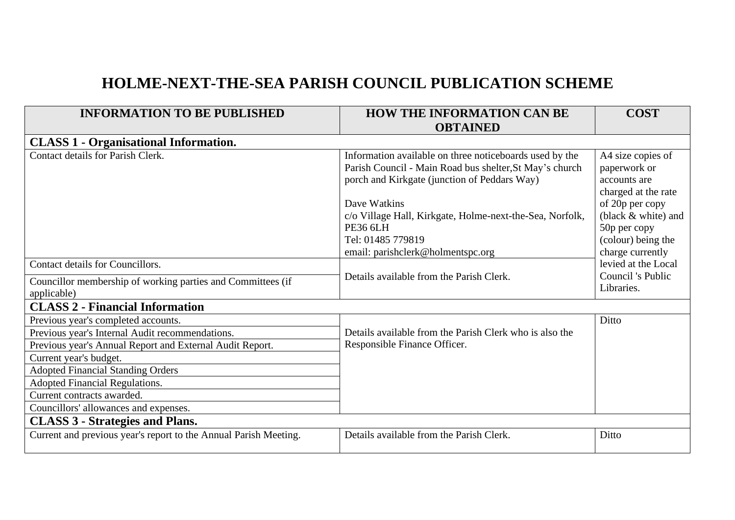## **HOLME-NEXT-THE-SEA PARISH COUNCIL PUBLICATION SCHEME**

| <b>INFORMATION TO BE PUBLISHED</b>                               | <b>HOW THE INFORMATION CAN BE</b>                        | <b>COST</b>                            |  |  |
|------------------------------------------------------------------|----------------------------------------------------------|----------------------------------------|--|--|
|                                                                  | <b>OBTAINED</b>                                          |                                        |  |  |
| <b>CLASS 1 - Organisational Information.</b>                     |                                                          |                                        |  |  |
| Contact details for Parish Clerk.                                | Information available on three noticeboards used by the  | A4 size copies of                      |  |  |
|                                                                  | Parish Council - Main Road bus shelter, St May's church  | paperwork or                           |  |  |
|                                                                  | porch and Kirkgate (junction of Peddars Way)             | accounts are                           |  |  |
|                                                                  | Dave Watkins                                             | charged at the rate<br>of 20p per copy |  |  |
|                                                                  | c/o Village Hall, Kirkgate, Holme-next-the-Sea, Norfolk, | (black & white) and                    |  |  |
|                                                                  | <b>PE36 6LH</b>                                          | 50p per copy                           |  |  |
|                                                                  | Tel: 01485 779819                                        | (colour) being the                     |  |  |
|                                                                  | email: parishclerk@holmentspc.org                        | charge currently                       |  |  |
| Contact details for Councillors.                                 |                                                          | levied at the Local                    |  |  |
| Councillor membership of working parties and Committees (if      | Details available from the Parish Clerk.                 | Council 's Public                      |  |  |
| applicable)                                                      |                                                          | Libraries.                             |  |  |
| <b>CLASS 2 - Financial Information</b>                           |                                                          |                                        |  |  |
| Previous year's completed accounts.                              |                                                          | Ditto                                  |  |  |
| Previous year's Internal Audit recommendations.                  | Details available from the Parish Clerk who is also the  |                                        |  |  |
| Previous year's Annual Report and External Audit Report.         | Responsible Finance Officer.                             |                                        |  |  |
| Current year's budget.                                           |                                                          |                                        |  |  |
| <b>Adopted Financial Standing Orders</b>                         |                                                          |                                        |  |  |
| <b>Adopted Financial Regulations.</b>                            |                                                          |                                        |  |  |
| Current contracts awarded.                                       |                                                          |                                        |  |  |
| Councillors' allowances and expenses.                            |                                                          |                                        |  |  |
| <b>CLASS 3 - Strategies and Plans.</b>                           |                                                          |                                        |  |  |
| Current and previous year's report to the Annual Parish Meeting. | Details available from the Parish Clerk.                 | Ditto                                  |  |  |
|                                                                  |                                                          |                                        |  |  |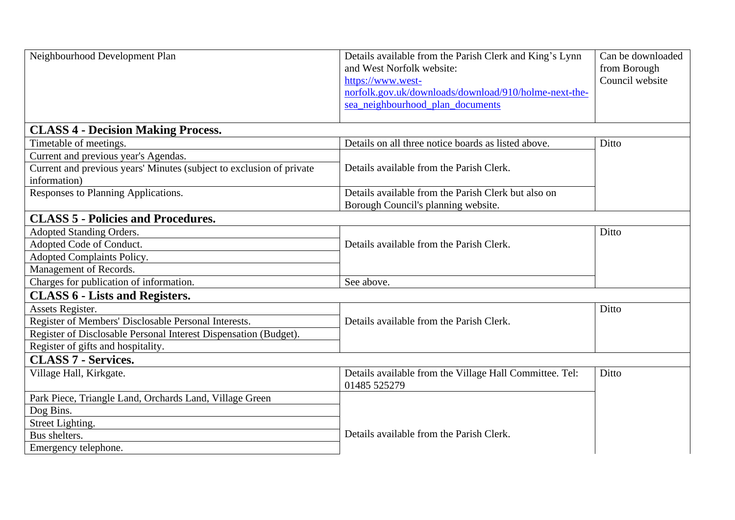| Neighbourhood Development Plan                                                       | Details available from the Parish Clerk and King's Lynn<br>and West Norfolk website:<br>https://www.west-<br>norfolk.gov.uk/downloads/download/910/holme-next-the-<br>sea_neighbourhood_plan_documents | Can be downloaded<br>from Borough<br>Council website |
|--------------------------------------------------------------------------------------|--------------------------------------------------------------------------------------------------------------------------------------------------------------------------------------------------------|------------------------------------------------------|
|                                                                                      |                                                                                                                                                                                                        |                                                      |
| <b>CLASS 4 - Decision Making Process.</b>                                            |                                                                                                                                                                                                        |                                                      |
| Timetable of meetings.                                                               | Details on all three notice boards as listed above.                                                                                                                                                    | Ditto                                                |
| Current and previous year's Agendas.                                                 |                                                                                                                                                                                                        |                                                      |
| Current and previous years' Minutes (subject to exclusion of private<br>information) | Details available from the Parish Clerk.                                                                                                                                                               |                                                      |
| Responses to Planning Applications.                                                  | Details available from the Parish Clerk but also on<br>Borough Council's planning website.                                                                                                             |                                                      |
| <b>CLASS 5 - Policies and Procedures.</b>                                            |                                                                                                                                                                                                        |                                                      |
| Adopted Standing Orders.                                                             | Details available from the Parish Clerk.                                                                                                                                                               | Ditto                                                |
| Adopted Code of Conduct.                                                             |                                                                                                                                                                                                        |                                                      |
| Adopted Complaints Policy.                                                           |                                                                                                                                                                                                        |                                                      |
| Management of Records.                                                               |                                                                                                                                                                                                        |                                                      |
| Charges for publication of information.                                              | See above.                                                                                                                                                                                             |                                                      |
| <b>CLASS 6 - Lists and Registers.</b>                                                |                                                                                                                                                                                                        |                                                      |
| Assets Register.                                                                     |                                                                                                                                                                                                        | Ditto                                                |
| Register of Members' Disclosable Personal Interests.                                 | Details available from the Parish Clerk.                                                                                                                                                               |                                                      |
| Register of Disclosable Personal Interest Dispensation (Budget).                     |                                                                                                                                                                                                        |                                                      |
| Register of gifts and hospitality.                                                   |                                                                                                                                                                                                        |                                                      |
| <b>CLASS 7 - Services.</b>                                                           |                                                                                                                                                                                                        |                                                      |
| Village Hall, Kirkgate.                                                              | Details available from the Village Hall Committee. Tel:<br>01485 525279                                                                                                                                | Ditto                                                |
| Park Piece, Triangle Land, Orchards Land, Village Green                              |                                                                                                                                                                                                        |                                                      |
| Dog Bins.                                                                            |                                                                                                                                                                                                        |                                                      |
| Street Lighting.                                                                     |                                                                                                                                                                                                        |                                                      |
| Bus shelters.                                                                        | Details available from the Parish Clerk.                                                                                                                                                               |                                                      |
| Emergency telephone.                                                                 |                                                                                                                                                                                                        |                                                      |